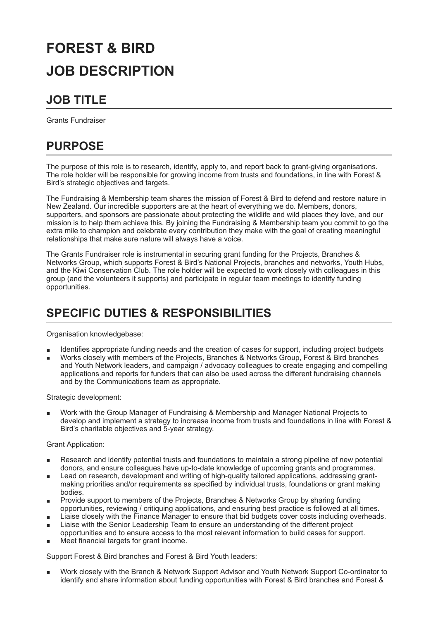# **FOREST & BIRD JOB DESCRIPTION**

### **JOB TITLE**

Grants Fundraiser

# **PURPOSE**

The purpose of this role is to research, identify, apply to, and report back to grant-giving organisations. The role holder will be responsible for growing income from trusts and foundations, in line with Forest & Bird's strategic objectives and targets.

The Fundraising & Membership team shares the mission of Forest & Bird to defend and restore nature in New Zealand. Our incredible supporters are at the heart of everything we do. Members, donors, supporters, and sponsors are passionate about protecting the wildlife and wild places they love, and our mission is to help them achieve this. By joining the Fundraising & Membership team you commit to go the extra mile to champion and celebrate every contribution they make with the goal of creating meaningful relationships that make sure nature will always have a voice.

The Grants Fundraiser role is instrumental in securing grant funding for the Projects, Branches & Networks Group, which supports Forest & Bird's National Projects, branches and networks, Youth Hubs, and the Kiwi Conservation Club. The role holder will be expected to work closely with colleagues in this group (and the volunteers it supports) and participate in regular team meetings to identify funding opportunities.

#### **SPECIFIC DUTIES & RESPONSIBILITIES**

Organisation knowledgebase:

- Identifies appropriate funding needs and the creation of cases for support, including project budgets
- Works closely with members of the Projects, Branches & Networks Group, Forest & Bird branches and Youth Network leaders, and campaign / advocacy colleagues to create engaging and compelling applications and reports for funders that can also be used across the different fundraising channels and by the Communications team as appropriate.

Strategic development:

Work with the Group Manager of Fundraising & Membership and Manager National Projects to develop and implement a strategy to increase income from trusts and foundations in line with Forest & Bird's charitable objectives and 5-year strategy.

Grant Application:

- Research and identify potential trusts and foundations to maintain a strong pipeline of new potential donors, and ensure colleagues have up-to-date knowledge of upcoming grants and programmes.
- Lead on research, development and writing of high-quality tailored applications, addressing grantш making priorities and/or requirements as specified by individual trusts, foundations or grant making bodies.
- Provide support to members of the Projects, Branches & Networks Group by sharing funding opportunities, reviewing / critiquing applications, and ensuring best practice is followed at all times.
- Liaise closely with the Finance Manager to ensure that bid budgets cover costs including overheads.
- Liaise with the Senior Leadership Team to ensure an understanding of the different project opportunities and to ensure access to the most relevant information to build cases for support.
- Meet financial targets for grant income.

Support Forest & Bird branches and Forest & Bird Youth leaders:

Work closely with the Branch & Network Support Advisor and Youth Network Support Co-ordinator to identify and share information about funding opportunities with Forest & Bird branches and Forest &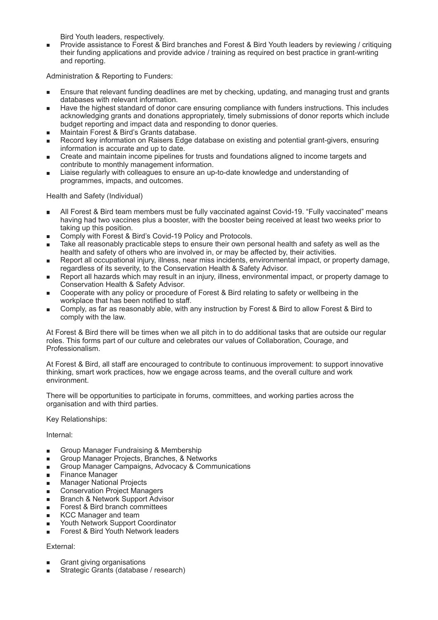Bird Youth leaders, respectively.

Provide assistance to Forest & Bird branches and Forest & Bird Youth leaders by reviewing / critiquing their funding applications and provide advice / training as required on best practice in grant-writing and reporting.

Administration & Reporting to Funders:

- Ensure that relevant funding deadlines are met by checking, updating, and managing trust and grants databases with relevant information.
- Have the highest standard of donor care ensuring compliance with funders instructions. This includes acknowledging grants and donations appropriately, timely submissions of donor reports which include budget reporting and impact data and responding to donor queries.
- Maintain Forest & Bird's Grants database.
- Record key information on Raisers Edge database on existing and potential grant-givers, ensuring information is accurate and up to date.
- Create and maintain income pipelines for trusts and foundations aligned to income targets and contribute to monthly management information.
- Liaise regularly with colleagues to ensure an up-to-date knowledge and understanding of programmes, impacts, and outcomes.

Health and Safety (Individual)

- All Forest & Bird team members must be fully vaccinated against Covid-19. "Fully vaccinated" means having had two vaccines plus a booster, with the booster being received at least two weeks prior to taking up this position.
- Comply with Forest & Bird's Covid-19 Policy and Protocols.
- Take all reasonably practicable steps to ensure their own personal health and safety as well as the health and safety of others who are involved in, or may be affected by, their activities.
- Report all occupational injury, illness, near miss incidents, environmental impact, or property damage, regardless of its severity, to the Conservation Health & Safety Advisor.
- Report all hazards which may result in an injury, illness, environmental impact, or property damage to Conservation Health & Safety Advisor.
- Cooperate with any policy or procedure of Forest & Bird relating to safety or wellbeing in the workplace that has been notified to staff.
- Comply, as far as reasonably able, with any instruction by Forest & Bird to allow Forest & Bird to comply with the law.

At Forest & Bird there will be times when we all pitch in to do additional tasks that are outside our regular roles. This forms part of our culture and celebrates our values of Collaboration, Courage, and Professionalism.

At Forest & Bird, all staff are encouraged to contribute to continuous improvement: to support innovative thinking, smart work practices, how we engage across teams, and the overall culture and work environment.

There will be opportunities to participate in forums, committees, and working parties across the organisation and with third parties.

Key Relationships:

Internal:

- Group Manager Fundraising & Membership ×
- Group Manager Projects, Branches, & Networks  $\blacksquare$
- Group Manager Campaigns, Advocacy & Communications  $\blacksquare$
- Finance Manager ٠
- Manager National Projects  $\blacksquare$
- Conservation Project Managers  $\blacksquare$
- Branch & Network Support Advisor  $\blacksquare$
- Forest & Bird branch committees  $\blacksquare$
- KCC Manager and team m.
- Youth Network Support Coordinator
- Forest & Bird Youth Network leaders

#### External:

- Grant giving organisations
- Strategic Grants (database / research)